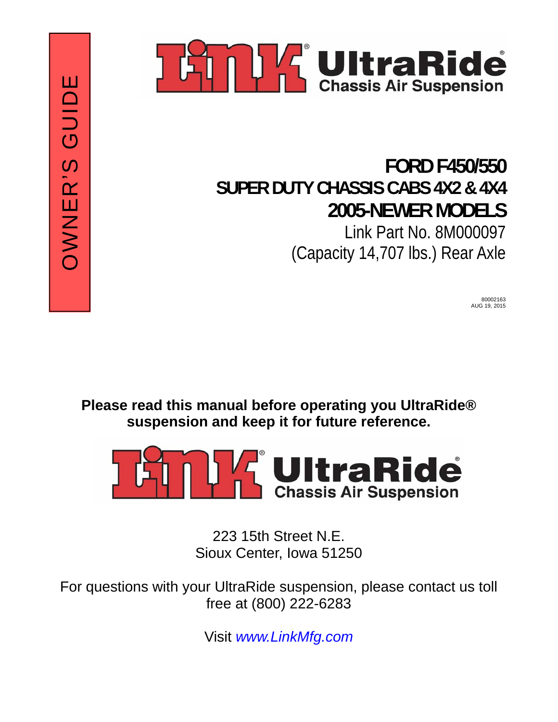



## **FORD F450/550 SUPER DUTY CHASSIS CABS 4X2 & 4X4 2005-NEWER MODELS** Link Part No. 8M000097 (Capacity 14,707 lbs.) Rear Axle

80002163 AUG 19, 2015

**Please read this manual before operating you UltraRide® suspension and keep it for future reference.** 



223 15th Street N.E. Sioux Center, Iowa 51250

For questions with your UltraRide suspension, please contact us toll free at (800) 222-6283

Visit *www.LinkMfg.com*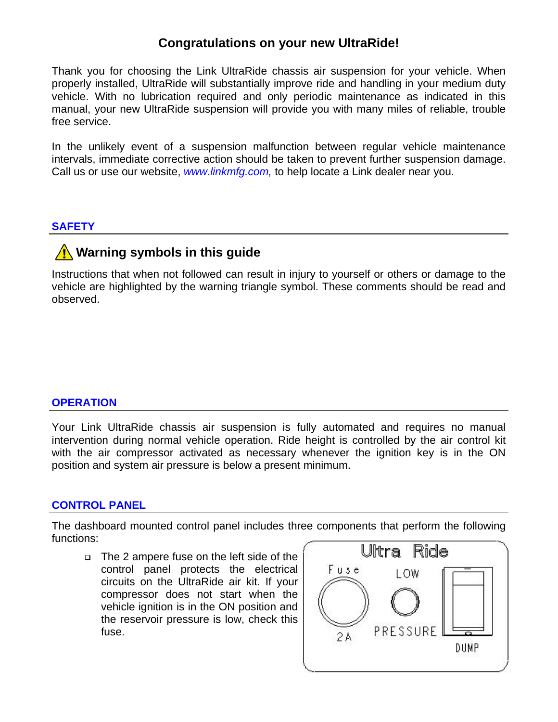#### **Congratulations on your new UltraRide!**

Thank you for choosing the Link UltraRide chassis air suspension for your vehicle. When properly installed, UltraRide will substantially improve ride and handling in your medium duty vehicle. With no lubrication required and only periodic maintenance as indicated in this manual, your new UltraRide suspension will provide you with many miles of reliable, trouble free service.

In the unlikely event of a suspension malfunction between regular vehicle maintenance intervals, immediate corrective action should be taken to prevent further suspension damage. Call us or use our website, *www.linkmfg.com,* to help locate a Link dealer near you.

#### **SAFETY**

### **Warning symbols in this quide**

Instructions that when not followed can result in injury to yourself or others or damage to the vehicle are highlighted by the warning triangle symbol. These comments should be read and observed.

#### **OPERATION**

Your Link UltraRide chassis air suspension is fully automated and requires no manual intervention during normal vehicle operation. Ride height is controlled by the air control kit with the air compressor activated as necessary whenever the ignition key is in the ON position and system air pressure is below a present minimum.

#### **CONTROL PANEL**

The dashboard mounted control panel includes three components that perform the following functions:

 The 2 ampere fuse on the left side of the control panel protects the electrical circuits on the UltraRide air kit. If your compressor does not start when the vehicle ignition is in the ON position and the reservoir pressure is low, check this fuse.

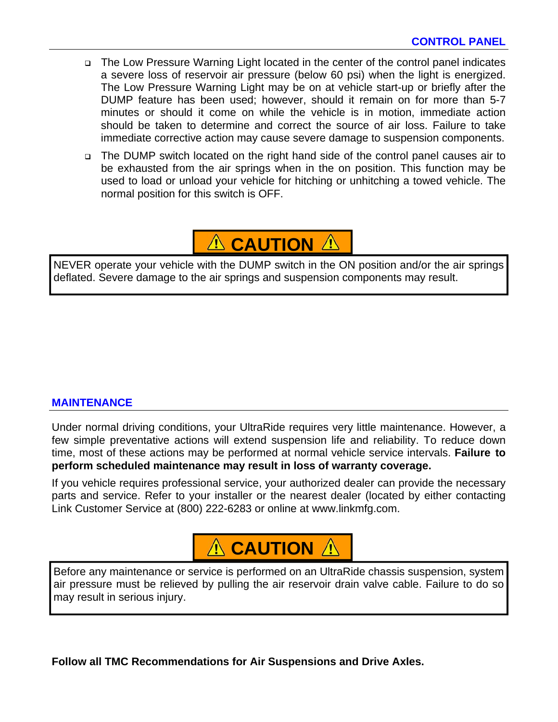- The Low Pressure Warning Light located in the center of the control panel indicates a severe loss of reservoir air pressure (below 60 psi) when the light is energized. The Low Pressure Warning Light may be on at vehicle start-up or briefly after the DUMP feature has been used; however, should it remain on for more than 5-7 minutes or should it come on while the vehicle is in motion, immediate action should be taken to determine and correct the source of air loss. Failure to take immediate corrective action may cause severe damage to suspension components.
- The DUMP switch located on the right hand side of the control panel causes air to be exhausted from the air springs when in the on position. This function may be used to load or unload your vehicle for hitching or unhitching a towed vehicle. The normal position for this switch is OFF.



NEVER operate your vehicle with the DUMP switch in the ON position and/or the air springs deflated. Severe damage to the air springs and suspension components may result.

#### **MAINTENANCE**

Under normal driving conditions, your UltraRide requires very little maintenance. However, a few simple preventative actions will extend suspension life and reliability. To reduce down time, most of these actions may be performed at normal vehicle service intervals. **Failure to perform scheduled maintenance may result in loss of warranty coverage.** 

If you vehicle requires professional service, your authorized dealer can provide the necessary parts and service. Refer to your installer or the nearest dealer (located by either contacting Link Customer Service at (800) 222-6283 or online at www.linkmfg.com.

## **A** CAUTION A

Before any maintenance or service is performed on an UltraRide chassis suspension, system air pressure must be relieved by pulling the air reservoir drain valve cable. Failure to do so may result in serious injury.

**Follow all TMC Recommendations for Air Suspensions and Drive Axles.**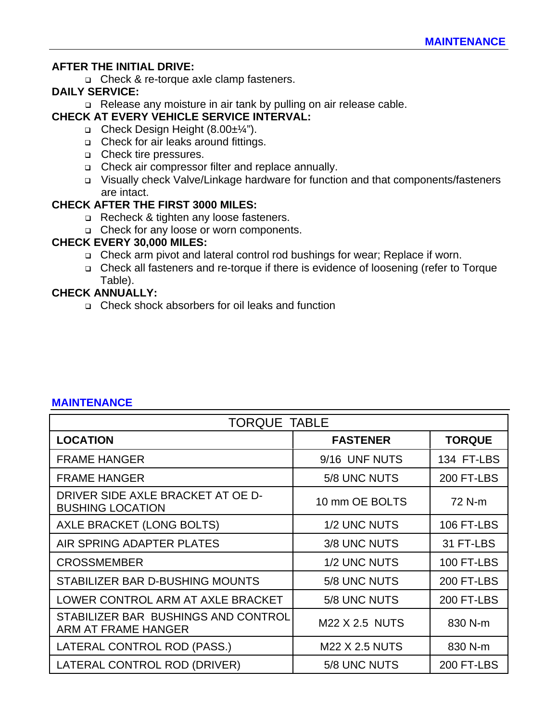#### **AFTER THE INITIAL DRIVE:**

□ Check & re-torque axle clamp fasteners.

#### **DAILY SERVICE:**

□ Release any moisture in air tank by pulling on air release cable.

#### **CHECK AT EVERY VEHICLE SERVICE INTERVAL:**

- Check Design Height (8.00±¼").
- □ Check for air leaks around fittings.
- □ Check tire pressures.
- Check air compressor filter and replace annually.
- Visually check Valve/Linkage hardware for function and that components/fasteners are intact.

#### **CHECK AFTER THE FIRST 3000 MILES:**

- Recheck & tighten any loose fasteners.
- □ Check for any loose or worn components.

#### **CHECK EVERY 30,000 MILES:**

- □ Check arm pivot and lateral control rod bushings for wear; Replace if worn.
- Check all fasteners and re-torque if there is evidence of loosening (refer to Torque Table).

#### **CHECK ANNUALLY:**

□ Check shock absorbers for oil leaks and function

| <b>TORQUE TABLE</b>                                          |                       |                   |
|--------------------------------------------------------------|-----------------------|-------------------|
| <b>LOCATION</b>                                              | <b>FASTENER</b>       | <b>TORQUE</b>     |
| <b>FRAME HANGER</b>                                          | 9/16 UNF NUTS         | 134 FT-LBS        |
| <b>FRAME HANGER</b>                                          | 5/8 UNC NUTS          | <b>200 FT-LBS</b> |
| DRIVER SIDE AXLE BRACKET AT OE D-<br><b>BUSHING LOCATION</b> | 10 mm OE BOLTS        | 72 N-m            |
| AXLE BRACKET (LONG BOLTS)                                    | 1/2 UNC NUTS          | 106 FT-LBS        |
| AIR SPRING ADAPTER PLATES                                    | 3/8 UNC NUTS          | 31 FT-LBS         |
| <b>CROSSMEMBER</b>                                           | 1/2 UNC NUTS          | <b>100 FT-LBS</b> |
| STABILIZER BAR D-BUSHING MOUNTS                              | 5/8 UNC NUTS          | 200 FT-LBS        |
| LOWER CONTROL ARM AT AXLE BRACKET                            | 5/8 UNC NUTS          | <b>200 FT-LBS</b> |
| STABILIZER BAR BUSHINGS AND CONTROL<br>ARM AT FRAME HANGER   | M22 X 2.5 NUTS        | 830 N-m           |
| LATERAL CONTROL ROD (PASS.)                                  | <b>M22 X 2.5 NUTS</b> | 830 N-m           |
| LATERAL CONTROL ROD (DRIVER)                                 | 5/8 UNC NUTS          | <b>200 FT-LBS</b> |

#### **MAINTENANCE**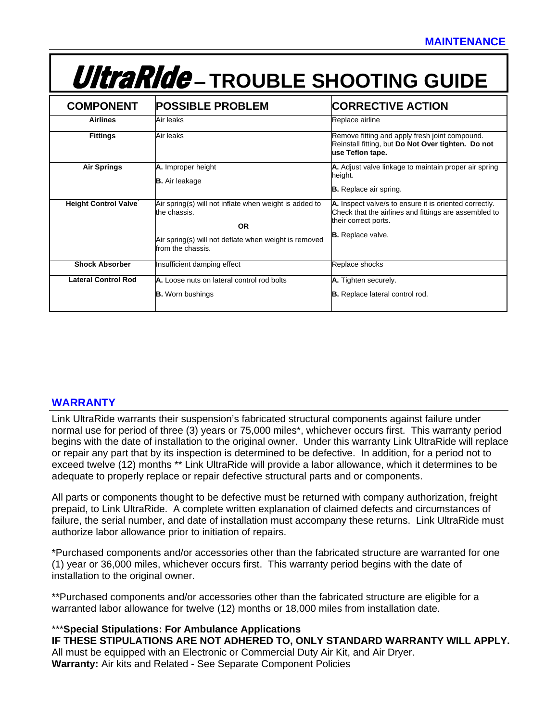# UltraRide — **TROUBLE SHOOTING GUIDE**

| <b>COMPONENT</b>            | <b>POSSIBLE PROBLEM</b>                                                                                                                                           | <b>CORRECTIVE ACTION</b>                                                                                                                                            |
|-----------------------------|-------------------------------------------------------------------------------------------------------------------------------------------------------------------|---------------------------------------------------------------------------------------------------------------------------------------------------------------------|
| <b>Airlines</b>             | Air leaks                                                                                                                                                         | Replace airline                                                                                                                                                     |
| <b>Fittings</b>             | Air leaks                                                                                                                                                         | Remove fitting and apply fresh joint compound.<br>Reinstall fitting, but Do Not Over tighten. Do not<br>use Teflon tape.                                            |
| <b>Air Springs</b>          | A. Improper height<br><b>B.</b> Air leakage                                                                                                                       | A. Adjust valve linkage to maintain proper air spring<br>height.<br><b>B.</b> Replace air spring.                                                                   |
| <b>Height Control Valve</b> | Air spring(s) will not inflate when weight is added to<br>the chassis.<br><b>OR</b><br>Air spring(s) will not deflate when weight is removed<br>from the chassis. | A. Inspect valve/s to ensure it is oriented correctly.<br>Check that the airlines and fittings are assembled to<br>their correct ports.<br><b>B.</b> Replace valve. |
| <b>Shock Absorber</b>       | Insufficient damping effect                                                                                                                                       | Replace shocks                                                                                                                                                      |
| <b>Lateral Control Rod</b>  | A. Loose nuts on lateral control rod bolts<br><b>B.</b> Worn bushings                                                                                             | A. Tighten securely.<br><b>B.</b> Replace lateral control rod.                                                                                                      |

#### **WARRANTY**

Link UltraRide warrants their suspension's fabricated structural components against failure under normal use for period of three (3) years or 75,000 miles\*, whichever occurs first. This warranty period begins with the date of installation to the original owner. Under this warranty Link UltraRide will replace or repair any part that by its inspection is determined to be defective. In addition, for a period not to exceed twelve (12) months \*\* Link UltraRide will provide a labor allowance, which it determines to be adequate to properly replace or repair defective structural parts and or components.

All parts or components thought to be defective must be returned with company authorization, freight prepaid, to Link UltraRide. A complete written explanation of claimed defects and circumstances of failure, the serial number, and date of installation must accompany these returns. Link UltraRide must authorize labor allowance prior to initiation of repairs.

\*Purchased components and/or accessories other than the fabricated structure are warranted for one (1) year or 36,000 miles, whichever occurs first. This warranty period begins with the date of installation to the original owner.

\*\*Purchased components and/or accessories other than the fabricated structure are eligible for a warranted labor allowance for twelve (12) months or 18,000 miles from installation date.

#### \*\*\***Special Stipulations: For Ambulance Applications**

**IF THESE STIPULATIONS ARE NOT ADHERED TO, ONLY STANDARD WARRANTY WILL APPLY.**  All must be equipped with an Electronic or Commercial Duty Air Kit, and Air Dryer. **Warranty:** Air kits and Related - See Separate Component Policies